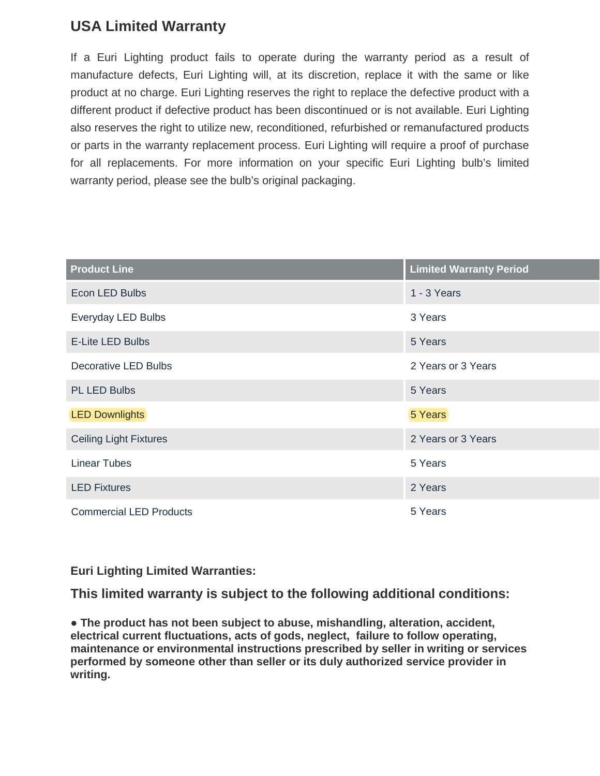## **USA Limited Warranty**

If a Euri Lighting product fails to operate during the warranty period as a result of manufacture defects, Euri Lighting will, at its discretion, replace it with the same or like product at no charge. Euri Lighting reserves the right to replace the defective product with a different product if defective product has been discontinued or is not available. Euri Lighting also reserves the right to utilize new, reconditioned, refurbished or remanufactured products or parts in the warranty replacement process. Euri Lighting will require a proof of purchase for all replacements. For more information on your specific Euri Lighting bulb's limited warranty period, please see the bulb's original packaging.

| <b>Product Line</b>            | <b>Limited Warranty Period</b> |
|--------------------------------|--------------------------------|
| Econ LED Bulbs                 | 1 - 3 Years                    |
| Everyday LED Bulbs             | 3 Years                        |
| <b>E-Lite LED Bulbs</b>        | 5 Years                        |
| Decorative LED Bulbs           | 2 Years or 3 Years             |
| PL LED Bulbs                   | 5 Years                        |
| <b>LED Downlights</b>          | 5 Years                        |
| <b>Ceiling Light Fixtures</b>  | 2 Years or 3 Years             |
| <b>Linear Tubes</b>            | 5 Years                        |
| <b>LED Fixtures</b>            | 2 Years                        |
| <b>Commercial LED Products</b> | 5 Years                        |

**Euri Lighting Limited Warranties:**

**This limited warranty is subject to the following additional conditions:** 

**● The product has not been subject to abuse, mishandling, alteration, accident, electrical current fluctuations, acts of gods, neglect, failure to follow operating, maintenance or environmental instructions prescribed by seller in writing or services performed by someone other than seller or its duly authorized service provider in writing.**